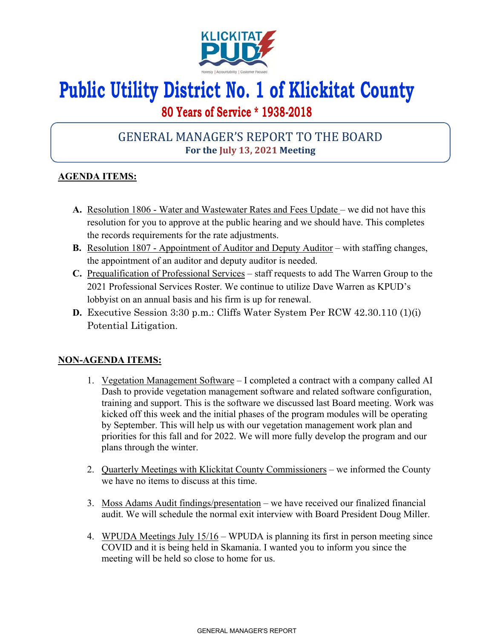

# **Public Utility District No. 1 of Klickitat County**

## **80 Years of Service \* 1938-2018**

## GENERAL MANAGER'S REPORT TO THE BOARD **For the July 13, 2021 Meeting**

### **AGENDA ITEMS:**

- **A.** Resolution 1806 Water and Wastewater Rates and Fees Update we did not have this resolution for you to approve at the public hearing and we should have. This completes the records requirements for the rate adjustments.
- **B.** Resolution 1807 Appointment of Auditor and Deputy Auditor with staffing changes, the appointment of an auditor and deputy auditor is needed.
- **C.** Prequalification of Professional Services staff requests to add The Warren Group to the 2021 Professional Services Roster. We continue to utilize Dave Warren as KPUD's lobbyist on an annual basis and his firm is up for renewal.
- **D.** Executive Session 3:30 p.m.: Cliffs Water System Per RCW 42.30.110 (1)(i) Potential Litigation.

#### **NON-AGENDA ITEMS:**

- 1. Vegetation Management Software I completed a contract with a company called AI Dash to provide vegetation management software and related software configuration, training and support. This is the software we discussed last Board meeting. Work was kicked off this week and the initial phases of the program modules will be operating by September. This will help us with our vegetation management work plan and priorities for this fall and for 2022. We will more fully develop the program and our plans through the winter.
- 2. Quarterly Meetings with Klickitat County Commissioners we informed the County we have no items to discuss at this time.
- 3. Moss Adams Audit findings/presentation we have received our finalized financial audit. We will schedule the normal exit interview with Board President Doug Miller.
- 4. WPUDA Meetings July 15/16 WPUDA is planning its first in person meeting since COVID and it is being held in Skamania. I wanted you to inform you since the meeting will be held so close to home for us.